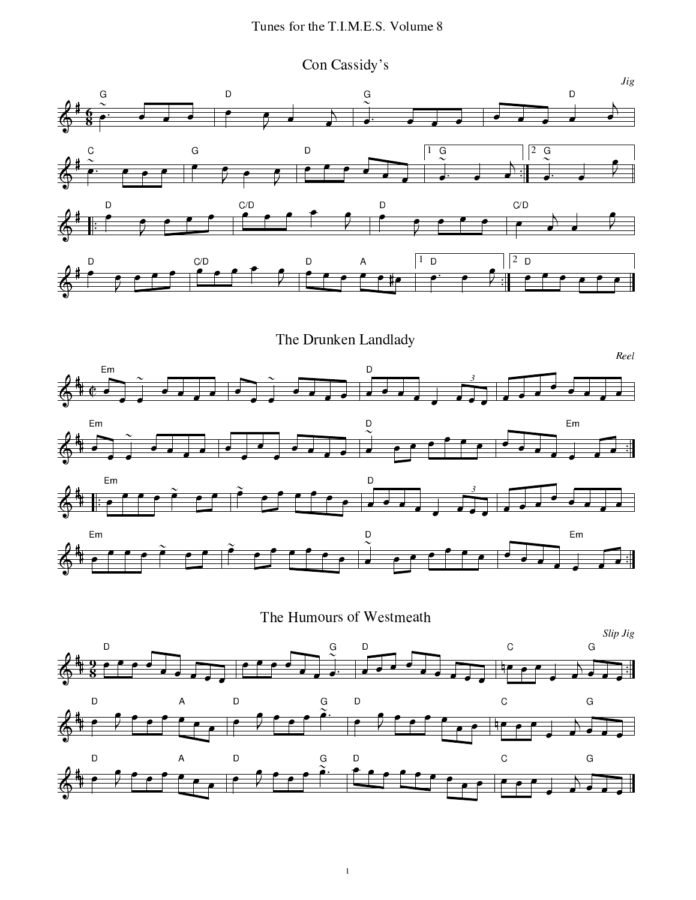Con Cassidy's

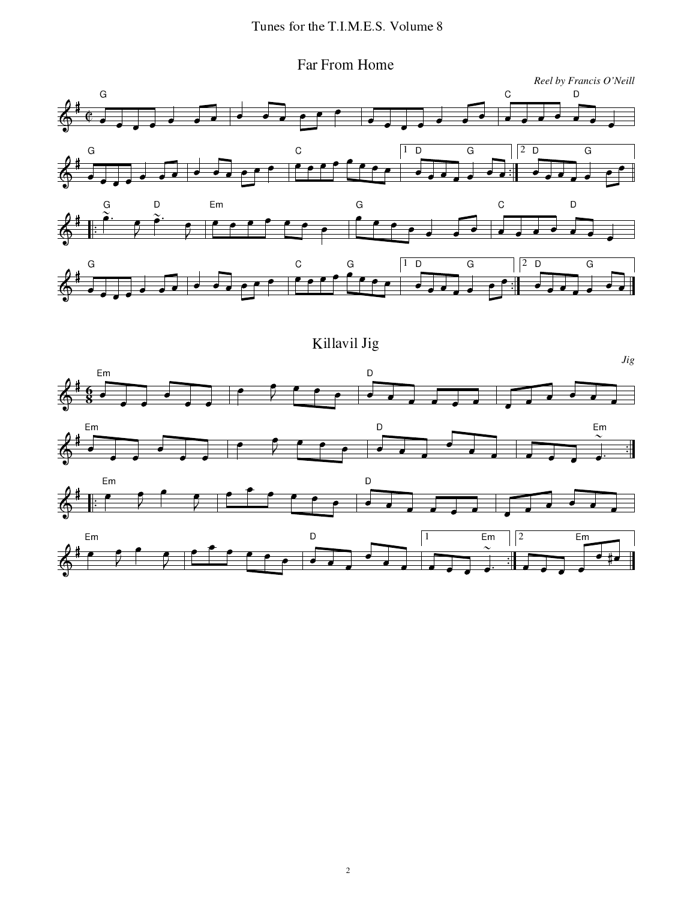](F ]-<sup>F</sup>#V^T#V[C



Killavil Jig

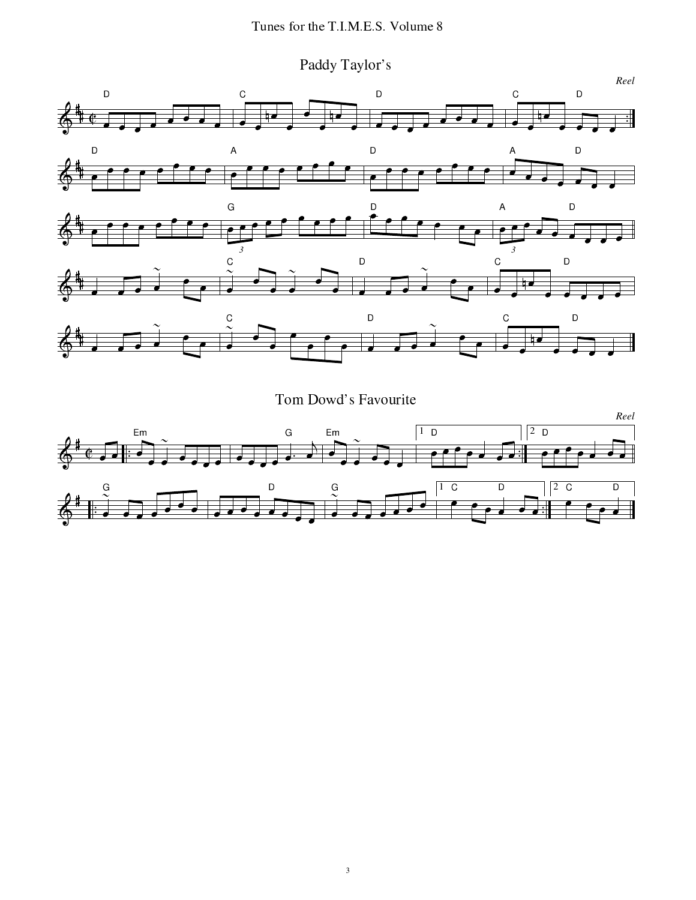Paddy Taylor's



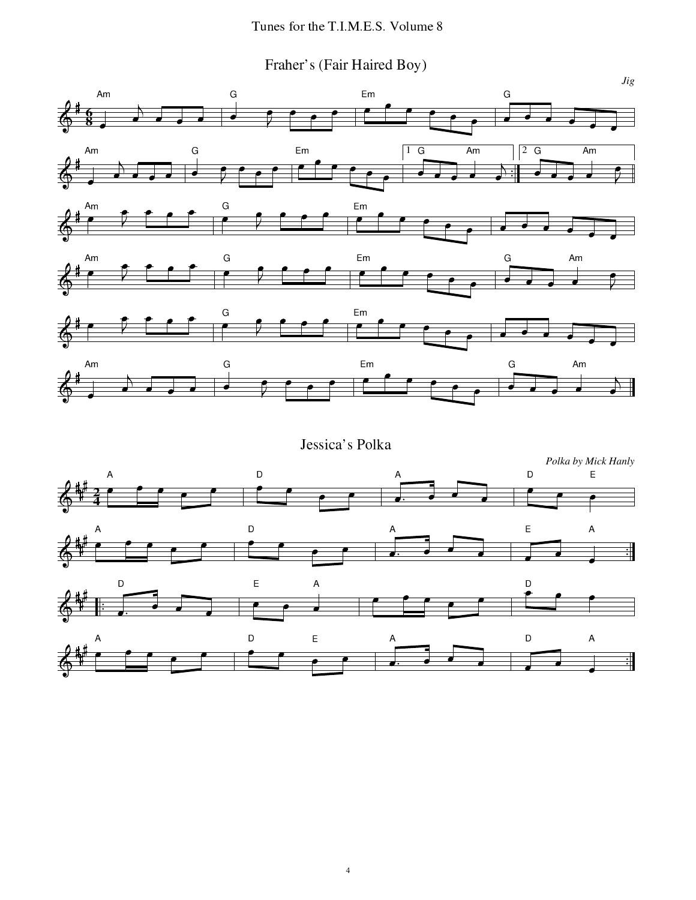## -

## ]-F(A&CKF01)h](K,F T(K,F1C-jik#&/&l

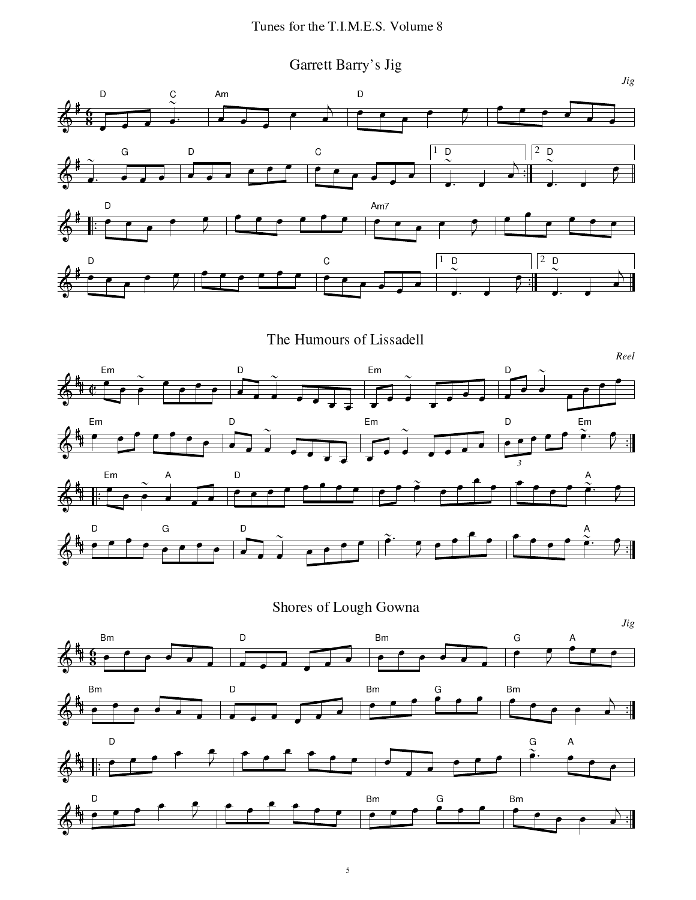Garrett Barry's Jig



Shores of Lough Gowna

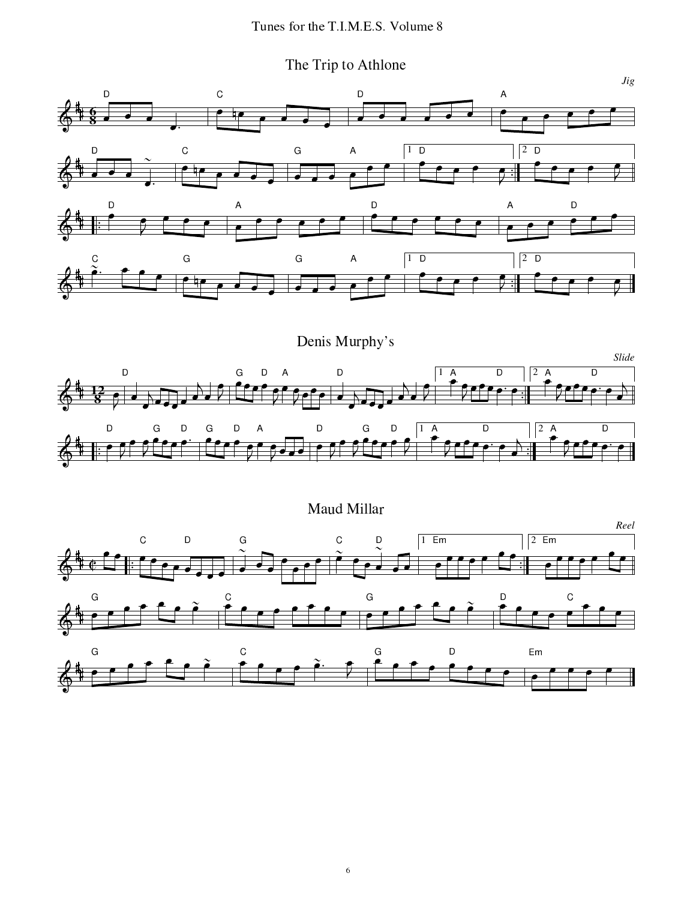The Trip to Athlone